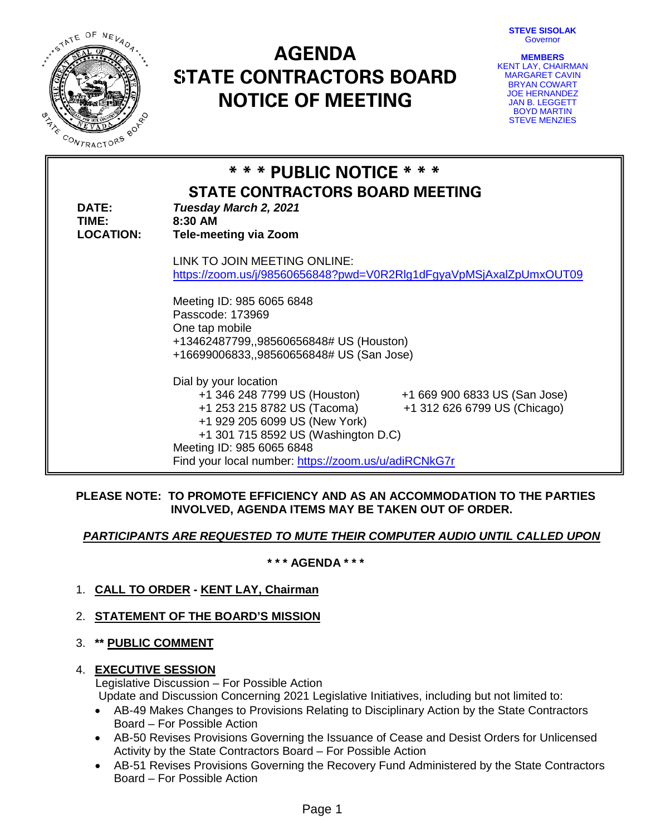**STEVE SISOLAK** Governor



# **AGENDA STATE CONTRACTORS BOARD NOTICE OF MEETING**

**MEMBERS** KENT LAY, CHAIRMAN MARGARET CAVIN BRYAN COWART JOE HERNANDEZ JAN B. LEGGETT BOYD MARTIN STEVE MENZIES

| <b>DATE:</b><br>TIME:<br><b>LOCATION:</b> | * * * PUBLIC NOTICE * * *<br><b>STATE CONTRACTORS BOARD MEETING</b><br>Tuesday March 2, 2021<br>8:30 AM<br><b>Tele-meeting via Zoom</b>                                                                                                                    |
|-------------------------------------------|------------------------------------------------------------------------------------------------------------------------------------------------------------------------------------------------------------------------------------------------------------|
|                                           | LINK TO JOIN MEETING ONLINE:                                                                                                                                                                                                                               |
|                                           |                                                                                                                                                                                                                                                            |
|                                           | https://zoom.us/j/98560656848?pwd=V0R2Rlg1dFgyaVpMSjAxalZpUmxOUT09                                                                                                                                                                                         |
|                                           | Meeting ID: 985 6065 6848<br>Passcode: 173969<br>One tap mobile                                                                                                                                                                                            |
|                                           | +13462487799,,98560656848# US (Houston)                                                                                                                                                                                                                    |
|                                           | +16699006833,,98560656848# US (San Jose)                                                                                                                                                                                                                   |
|                                           | Dial by your location<br>+1 346 248 7799 US (Houston)<br>+1 669 900 6833 US (San Jose)<br>+1 253 215 8782 US (Tacoma)<br>+1 312 626 6799 US (Chicago)<br>+1 929 205 6099 US (New York)<br>+1 301 715 8592 US (Washington D.C)<br>Meeting ID: 985 6065 6848 |
|                                           | Find your local number: https://zoom.us/u/adiRCNkG7r                                                                                                                                                                                                       |

## **PLEASE NOTE: TO PROMOTE EFFICIENCY AND AS AN ACCOMMODATION TO THE PARTIES INVOLVED, AGENDA ITEMS MAY BE TAKEN OUT OF ORDER.**

# *PARTICIPANTS ARE REQUESTED TO MUTE THEIR COMPUTER AUDIO UNTIL CALLED UPON*

**\* \* \* AGENDA \* \* \***

1. **CALL TO ORDER - KENT LAY, Chairman**

# 2. **STATEMENT OF THE BOARD'S MISSION**

3. **\*\* PUBLIC COMMENT**

## 4. **EXECUTIVE SESSION**

 Legislative Discussion – For Possible Action Update and Discussion Concerning 2021 Legislative Initiatives, including but not limited to:

- AB-49 Makes Changes to Provisions Relating to Disciplinary Action by the State Contractors Board – For Possible Action
- AB-50 Revises Provisions Governing the Issuance of Cease and Desist Orders for Unlicensed Activity by the State Contractors Board – For Possible Action
- AB-51 Revises Provisions Governing the Recovery Fund Administered by the State Contractors Board – For Possible Action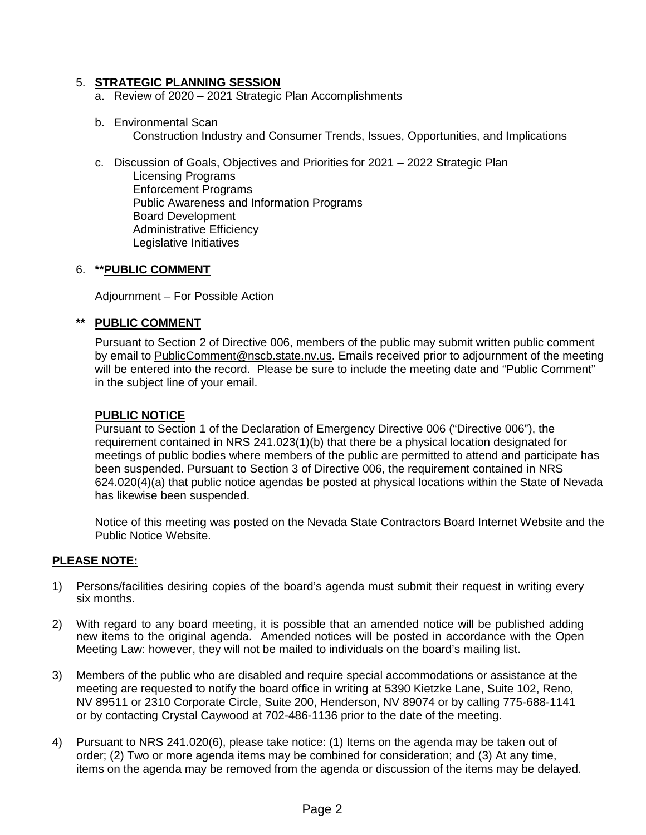## 5. **STRATEGIC PLANNING SESSION**

- a. Review of 2020 2021 Strategic Plan Accomplishments
- b. Environmental Scan Construction Industry and Consumer Trends, Issues, Opportunities, and Implications
- c. Discussion of Goals, Objectives and Priorities for 2021 2022 Strategic Plan Licensing Programs Enforcement Programs Public Awareness and Information Programs Board Development Administrative Efficiency Legislative Initiatives

#### 6. **\*\*PUBLIC COMMENT**

Adjournment – For Possible Action

#### **\*\* PUBLIC COMMENT**

Pursuant to Section 2 of Directive 006, members of the public may submit written public comment by email to [PublicComment@nscb.state.nv.us.](mailto:PublicComment@nscb.state.nv.us) Emails received prior to adjournment of the meeting will be entered into the record. Please be sure to include the meeting date and "Public Comment" in the subject line of your email.

#### **PUBLIC NOTICE**

Pursuant to Section 1 of the Declaration of Emergency Directive 006 ("Directive 006"), the requirement contained in NRS 241.023(1)(b) that there be a physical location designated for meetings of public bodies where members of the public are permitted to attend and participate has been suspended. Pursuant to Section 3 of Directive 006, the requirement contained in NRS 624.020(4)(a) that public notice agendas be posted at physical locations within the State of Nevada has likewise been suspended.

Notice of this meeting was posted on the Nevada State Contractors Board Internet Website and the Public Notice Website.

## **PLEASE NOTE:**

- 1) Persons/facilities desiring copies of the board's agenda must submit their request in writing every six months.
- 2) With regard to any board meeting, it is possible that an amended notice will be published adding new items to the original agenda. Amended notices will be posted in accordance with the Open Meeting Law: however, they will not be mailed to individuals on the board's mailing list.
- 3) Members of the public who are disabled and require special accommodations or assistance at the meeting are requested to notify the board office in writing at 5390 Kietzke Lane, Suite 102, Reno, NV 89511 or 2310 Corporate Circle, Suite 200, Henderson, NV 89074 or by calling 775-688-1141 or by contacting Crystal Caywood at 702-486-1136 prior to the date of the meeting.
- 4) Pursuant to NRS 241.020(6), please take notice: (1) Items on the agenda may be taken out of order; (2) Two or more agenda items may be combined for consideration; and (3) At any time, items on the agenda may be removed from the agenda or discussion of the items may be delayed.